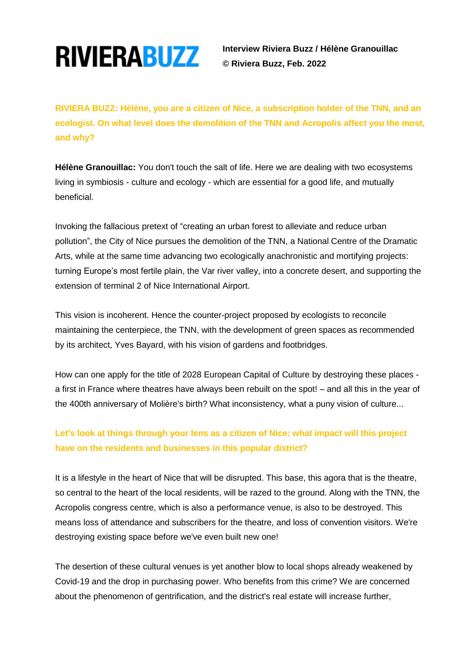

**RIVIERABUZZ** Interview Riviera Buzz / Hélène Granouillac  **© Riviera Buzz, Feb. 2022**

**RIVIERA BUZZ: Hélène, you are a citizen of Nice, a subscription holder of the TNN, and an ecologist. On what level does the demolition of the TNN and Acropolis affect you the most, and why?**

**Hélène Granouillac:** You don't touch the salt of life. Here we are dealing with two ecosystems living in symbiosis - culture and ecology - which are essential for a good life, and mutually beneficial.

Invoking the fallacious pretext of "creating an urban forest to alleviate and reduce urban pollution", the City of Nice pursues the demolition of the TNN, a National Centre of the Dramatic Arts, while at the same time advancing two ecologically anachronistic and mortifying projects: turning Europe's most fertile plain, the Var river valley, into a concrete desert, and supporting the extension of terminal 2 of Nice International Airport.

This vision is incoherent. Hence the counter-project proposed by ecologists to reconcile maintaining the centerpiece, the TNN, with the development of green spaces as recommended by its architect, Yves Bayard, with his vision of gardens and footbridges.

How can one apply for the title of 2028 European Capital of Culture by destroying these places a first in France where theatres have always been rebuilt on the spot! – and all this in the year of the 400th anniversary of Molière's birth? What inconsistency, what a puny vision of culture...

## **Let's look at things through your lens as a citizen of Nice: what impact will this project have on the residents and businesses in this popular district?**

It is a lifestyle in the heart of Nice that will be disrupted. This base, this agora that is the theatre, so central to the heart of the local residents, will be razed to the ground. Along with the TNN, the Acropolis congress centre, which is also a performance venue, is also to be destroyed. This means loss of attendance and subscribers for the theatre, and loss of convention visitors. We're destroying existing space before we've even built new one!

The desertion of these cultural venues is yet another blow to local shops already weakened by Covid-19 and the drop in purchasing power. Who benefits from this crime? We are concerned about the phenomenon of gentrification, and the district's real estate will increase further,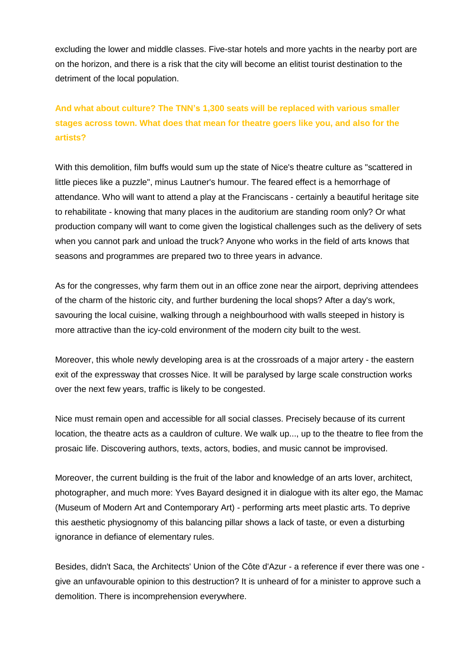excluding the lower and middle classes. Five-star hotels and more yachts in the nearby port are on the horizon, and there is a risk that the city will become an elitist tourist destination to the detriment of the local population.

# **And what about culture? The TNN's 1,300 seats will be replaced with various smaller stages across town. What does that mean for theatre goers like you, and also for the artists?**

With this demolition, film buffs would sum up the state of Nice's theatre culture as "scattered in little pieces like a puzzle", minus Lautner's humour. The feared effect is a hemorrhage of attendance. Who will want to attend a play at the Franciscans - certainly a beautiful heritage site to rehabilitate - knowing that many places in the auditorium are standing room only? Or what production company will want to come given the logistical challenges such as the delivery of sets when you cannot park and unload the truck? Anyone who works in the field of arts knows that seasons and programmes are prepared two to three years in advance.

As for the congresses, why farm them out in an office zone near the airport, depriving attendees of the charm of the historic city, and further burdening the local shops? After a day's work, savouring the local cuisine, walking through a neighbourhood with walls steeped in history is more attractive than the icy-cold environment of the modern city built to the west.

Moreover, this whole newly developing area is at the crossroads of a major artery - the eastern exit of the expressway that crosses Nice. It will be paralysed by large scale construction works over the next few years, traffic is likely to be congested.

Nice must remain open and accessible for all social classes. Precisely because of its current location, the theatre acts as a cauldron of culture. We walk up..., up to the theatre to flee from the prosaic life. Discovering authors, texts, actors, bodies, and music cannot be improvised.

Moreover, the current building is the fruit of the labor and knowledge of an arts lover, architect, photographer, and much more: Yves Bayard designed it in dialogue with its alter ego, the Mamac (Museum of Modern Art and Contemporary Art) - performing arts meet plastic arts. To deprive this aesthetic physiognomy of this balancing pillar shows a lack of taste, or even a disturbing ignorance in defiance of elementary rules.

Besides, didn't Saca, the Architects' Union of the Côte d'Azur - a reference if ever there was one give an unfavourable opinion to this destruction? It is unheard of for a minister to approve such a demolition. There is incomprehension everywhere.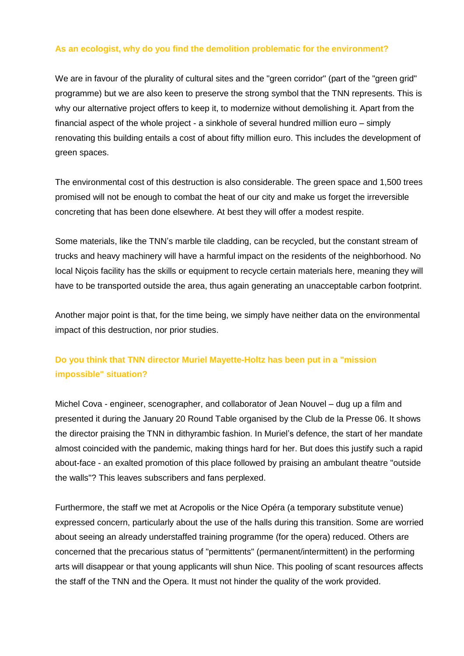### **As an ecologist, why do you find the demolition problematic for the environment?**

We are in favour of the plurality of cultural sites and the "green corridor" (part of the "green grid" programme) but we are also keen to preserve the strong symbol that the TNN represents. This is why our alternative project offers to keep it, to modernize without demolishing it. Apart from the financial aspect of the whole project - a sinkhole of several hundred million euro – simply renovating this building entails a cost of about fifty million euro. This includes the development of green spaces.

The environmental cost of this destruction is also considerable. The green space and 1,500 trees promised will not be enough to combat the heat of our city and make us forget the irreversible concreting that has been done elsewhere. At best they will offer a modest respite.

Some materials, like the TNN's marble tile cladding, can be recycled, but the constant stream of trucks and heavy machinery will have a harmful impact on the residents of the neighborhood. No local Niçois facility has the skills or equipment to recycle certain materials here, meaning they will have to be transported outside the area, thus again generating an unacceptable carbon footprint.

Another major point is that, for the time being, we simply have neither data on the environmental impact of this destruction, nor prior studies.

### **Do you think that TNN director Muriel Mayette-Holtz has been put in a "mission impossible" situation?**

Michel Cova - engineer, scenographer, and collaborator of Jean Nouvel – dug up a film and presented it during the January 20 Round Table organised by the Club de la Presse 06. It shows the director praising the TNN in dithyrambic fashion. In Muriel's defence, the start of her mandate almost coincided with the pandemic, making things hard for her. But does this justify such a rapid about-face - an exalted promotion of this place followed by praising an ambulant theatre "outside the walls"? This leaves subscribers and fans perplexed.

Furthermore, the staff we met at Acropolis or the Nice Opéra (a temporary substitute venue) expressed concern, particularly about the use of the halls during this transition. Some are worried about seeing an already understaffed training programme (for the opera) reduced. Others are concerned that the precarious status of "permittents" (permanent/intermittent) in the performing arts will disappear or that young applicants will shun Nice. This pooling of scant resources affects the staff of the TNN and the Opera. It must not hinder the quality of the work provided.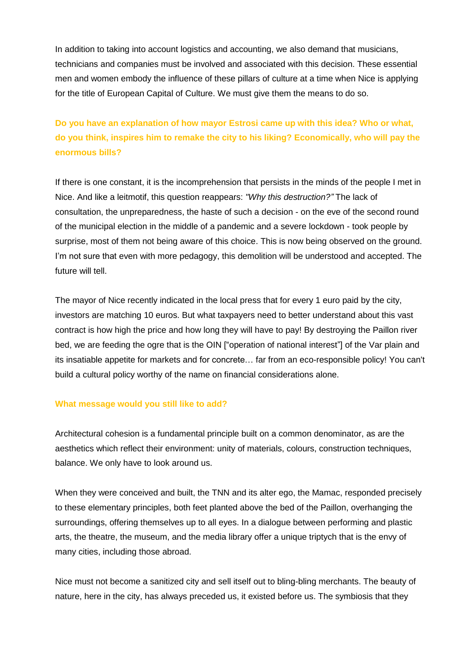In addition to taking into account logistics and accounting, we also demand that musicians, technicians and companies must be involved and associated with this decision. These essential men and women embody the influence of these pillars of culture at a time when Nice is applying for the title of European Capital of Culture. We must give them the means to do so.

**Do you have an explanation of how mayor Estrosi came up with this idea? Who or what, do you think, inspires him to remake the city to his liking? Economically, who will pay the enormous bills?**

If there is one constant, it is the incomprehension that persists in the minds of the people I met in Nice. And like a leitmotif, this question reappears: *"Why this destruction?"* The lack of consultation, the unpreparedness, the haste of such a decision - on the eve of the second round of the municipal election in the middle of a pandemic and a severe lockdown - took people by surprise, most of them not being aware of this choice. This is now being observed on the ground. I'm not sure that even with more pedagogy, this demolition will be understood and accepted. The future will tell.

The mayor of Nice recently indicated in the local press that for every 1 euro paid by the city, investors are matching 10 euros. But what taxpayers need to better understand about this vast contract is how high the price and how long they will have to pay! By destroying the Paillon river bed, we are feeding the ogre that is the OIN ["operation of national interest"] of the Var plain and its insatiable appetite for markets and for concrete… far from an eco-responsible policy! You can't build a cultural policy worthy of the name on financial considerations alone.

#### **What message would you still like to add?**

Architectural cohesion is a fundamental principle built on a common denominator, as are the aesthetics which reflect their environment: unity of materials, colours, construction techniques, balance. We only have to look around us.

When they were conceived and built, the TNN and its alter ego, the Mamac, responded precisely to these elementary principles, both feet planted above the bed of the Paillon, overhanging the surroundings, offering themselves up to all eyes. In a dialogue between performing and plastic arts, the theatre, the museum, and the media library offer a unique triptych that is the envy of many cities, including those abroad.

Nice must not become a sanitized city and sell itself out to bling-bling merchants. The beauty of nature, here in the city, has always preceded us, it existed before us. The symbiosis that they